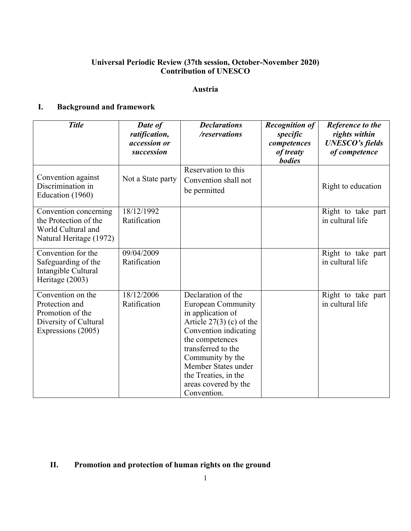## **Universal Periodic Review (37th session, October-November 2020) Contribution of UNESCO**

#### **Austria**

## **I. Background and framework**

| <b>Title</b>                                                                                           | Date of<br>ratification,<br><i>accession or</i><br>succession | <b>Declarations</b><br>/reservations                                                                                                                                                                                                                                           | <b>Recognition of</b><br>specific<br>competences<br>of treaty<br><b>bodies</b> | Reference to the<br>rights within<br><b>UNESCO's fields</b><br>of competence |
|--------------------------------------------------------------------------------------------------------|---------------------------------------------------------------|--------------------------------------------------------------------------------------------------------------------------------------------------------------------------------------------------------------------------------------------------------------------------------|--------------------------------------------------------------------------------|------------------------------------------------------------------------------|
| Convention against<br>Discrimination in<br>Education (1960)                                            | Not a State party                                             | Reservation to this<br>Convention shall not<br>be permitted                                                                                                                                                                                                                    |                                                                                | Right to education                                                           |
| Convention concerning<br>the Protection of the<br>World Cultural and<br>Natural Heritage (1972)        | 18/12/1992<br>Ratification                                    |                                                                                                                                                                                                                                                                                |                                                                                | Right to take part<br>in cultural life                                       |
| Convention for the<br>Safeguarding of the<br>Intangible Cultural<br>Heritage (2003)                    | 09/04/2009<br>Ratification                                    |                                                                                                                                                                                                                                                                                |                                                                                | Right to take part<br>in cultural life                                       |
| Convention on the<br>Protection and<br>Promotion of the<br>Diversity of Cultural<br>Expressions (2005) | 18/12/2006<br>Ratification                                    | Declaration of the<br><b>European Community</b><br>in application of<br>Article $27(3)$ (c) of the<br>Convention indicating<br>the competences<br>transferred to the<br>Community by the<br>Member States under<br>the Treaties, in the<br>areas covered by the<br>Convention. |                                                                                | Right to take part<br>in cultural life                                       |

# **II. Promotion and protection of human rights on the ground**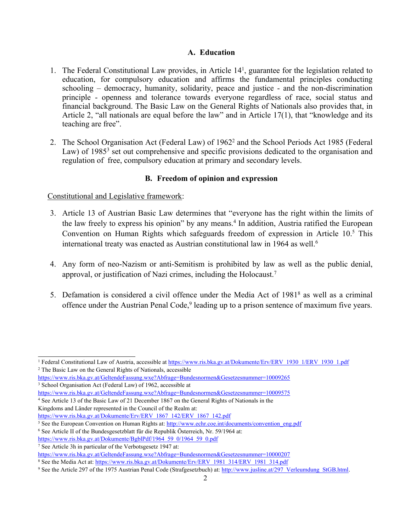#### **A. Education**

- 1. The Federal Constitutional Law provides, in Article 14<sup>1</sup> , guarantee for the legislation related to education, for compulsory education and affirms the fundamental principles conducting schooling – democracy, humanity, solidarity, peace and justice - and the non-discrimination principle - openness and tolerance towards everyone regardless of race, social status and financial background. The Basic Law on the General Rights of Nationals also provides that, in Article 2, "all nationals are equal before the law" and in Article 17(1), that "knowledge and its teaching are free".
- 2. The School Organisation Act (Federal Law) of 1962<sup>2</sup> and the School Periods Act 1985 (Federal Law) of 1985<sup>3</sup> set out comprehensive and specific provisions dedicated to the organisation and regulation of free, compulsory education at primary and secondary levels.

#### **B. Freedom of opinion and expression**

#### Constitutional and Legislative framework:

- 3. Article 13 of Austrian Basic Law determines that "everyone has the right within the limits of the law freely to express his opinion" by any means. 4 In addition, Austria ratified the European Convention on Human Rights which safeguards freedom of expression in Article 10.<sup>5</sup> This international treaty was enacted as Austrian constitutional law in 1964 as well. 6
- 4. Any form of neo-Nazism or anti-Semitism is prohibited by law as well as the public denial, approval, or justification of Nazi crimes, including the Holocaust. 7
- 5. Defamation is considered a civil offence under the Media Act of 1981<sup>8</sup> as well as a criminal offence under the Austrian Penal Code,<sup>9</sup> leading up to a prison sentence of maximum five years.

<sup>&</sup>lt;sup>1</sup> Federal Constitutional Law of Austria, accessible at [https://www.ris.bka.gv.at/Dokumente/Erv/ERV\\_1930\\_1/ERV\\_1930\\_1.pdf](https://www.ris.bka.gv.at/Dokumente/Erv/ERV_1930_1/ERV_1930_1.pdf) <sup>2</sup> The Basic Law on the General Rights of Nationals, accessible

<https://www.ris.bka.gv.at/GeltendeFassung.wxe?Abfrage=Bundesnormen&Gesetzesnummer=10009265> <sup>3</sup> School Organisation Act (Federal Law) of 1962, accessible at

<https://www.ris.bka.gv.at/GeltendeFassung.wxe?Abfrage=Bundesnormen&Gesetzesnummer=10009575>

<sup>4</sup> See Article 13 of the Basic Law of 21 December 1867 on the General Rights of Nationals in the Kingdoms and Länder represented in the Council of the Realm at:

[https://www.ris.bka.gv.at/Dokumente/Erv/ERV\\_1867\\_142/ERV\\_1867\\_142.pdf](https://www.ris.bka.gv.at/Dokumente/Erv/ERV_1867_142/ERV_1867_142.pdf)

<sup>&</sup>lt;sup>5</sup> See the European Convention on Human Rights at: [http://www.echr.coe.int/documents/convention\\_eng.pdf](http://www.echr.coe.int/documents/convention_eng.pdf) 6 See Article II of the Bundesgesetzblatt für die Republik Österreich, Nr. 59/1964 at: [https://www.ris.bka.gv.at/Dokumente/BgblPdf/1964\\_59\\_0/1964\\_59\\_0.pdf](https://www.ris.bka.gv.at/Dokumente/BgblPdf/1964_59_0/1964_59_0.pdf)

<sup>7</sup> See Article 3h in particular of the Verbotsgesetz 1947 at:

<https://www.ris.bka.gv.at/GeltendeFassung.wxe?Abfrage=Bundesnormen&Gesetzesnummer=10000207>

<sup>&</sup>lt;sup>8</sup> See the Media Act at: [https://www.ris.bka.gv.at/Dokumente/Erv/ERV\\_1981\\_314/ERV\\_1981\\_314.pdf](https://www.ris.bka.gv.at/Dokumente/Erv/ERV_1981_314/ERV_1981_314.pdf)

<sup>&</sup>lt;sup>9</sup> See the Article 297 of the 1975 Austrian Penal Code (Strafgesetzbuch) at: [http://www.jusline.at/297\\_Verleumdung\\_StGB.html](http://www.jusline.at/297_Verleumdung_StGB.html).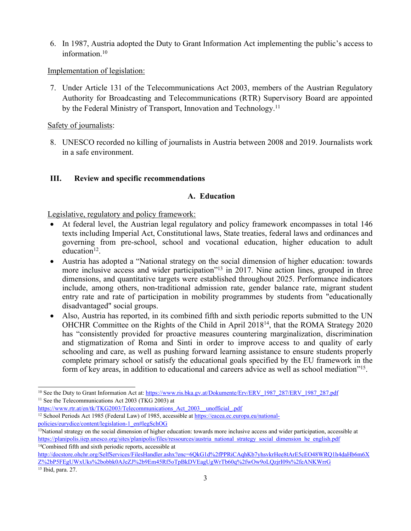6. In 1987, Austria adopted the Duty to Grant Information Act implementing the public'<sup>s</sup> access to information. 10

Implementation of legislation:

7. Under Article 131 of the Telecommunications Act 2003, members of the Austrian Regulatory Authority for Broadcasting and Telecommunications (RTR) Supervisory Board are appointed by the Federal Ministry of Transport, Innovation and Technology.<sup>11</sup>

Safety of journalists:

8. UNESCO recorded no killing of journalists in Austria between 2008 and 2019. Journalists work in <sup>a</sup> safe environment.

## **III. Review and specific recommendations**

## **A. Education**

Legislative, regulatory and policy framework:

- $\bullet$  At federal level, the Austrian legal regulatory and policy framework encompasses in total 146 texts including Imperial Act, Constitutional laws, State treaties, federal laws and ordinances and governing from pre-school, school and vocational education, higher education to adult education<sup>12</sup>.
- Austria has adopted <sup>a</sup> "National strategy on the social dimension of higher education: towards more inclusive access and wider participation"<sup>13</sup> in 2017. Nine action lines, grouped in three dimensions, and quantitative targets were established throughout 2025. Performance indicators include, among others, non-traditional admission rate, gender balance rate, migrant student entry rate and rate of participation in mobility programmes by students from "educationally disadvantaged" social groups.
- Also, Austria has reported, in its combined fifth and sixth periodic reports submitted to the UN OHCHR Committee on the Rights of the Child in April 2018<sup>14</sup> , that the ROMA Strategy 2020 has "consistently provided for proactive measures countering marginalization, discrimination and stigmatization of Roma and Sinti in order to improve access to and quality of early schooling and care, as well as pushing forward learning assistance to ensure students properly complete primary school or satisfy the educational goals specified by the EU framework in the form of key areas, in addition to educational and careers advice as well as school mediation"<sup>15</sup>.

<sup>&</sup>lt;sup>10</sup> See the Duty to Grant Information Act at: [https://www.ris.bka.gv.at/Dokumente/Erv/ERV\\_1987\\_287/ERV\\_1987\\_287.pdf](https://www.ris.bka.gv.at/Dokumente/Erv/ERV_1987_287/ERV_1987_287.pdf) <sup>11</sup> See the Telecommunications Act 2003 (TKG 2003) at

https://www.rtr.at/en/tk/TKG2003/Telecommunications Act\_2003\_\_unofficial\_.pdf

<sup>&</sup>lt;sup>12</sup> School Periods Act 1985 (Federal Law) of 1985, accessible at [https://eacea.ec.europa.eu/national-](https://eacea.ec.europa.eu/national-policies/eurydice/content/legislation-1_en#legSchOG)

po[licies/eurydice/content/legislation-1\\_en#legSchOG](https://eacea.ec.europa.eu/national-policies/eurydice/content/legislation-1_en#legSchOG)

<sup>&</sup>lt;sup>13</sup>National strategy on the social dimension of higher education: towards more inclusive access and wider participation, accessible at [https://planipolis.iiep.unesco.org/sites/planipolis/files/ressources/austria\\_national\\_strategy\\_social\\_dimension\\_he\\_english.pdf](https://planipolis.iiep.unesco.org/sites/planipolis/files/ressources/austria_national_strategy_social_dimension_he_english.pdf) <sup>14</sup>Combined fifth and sixth periodic reports, accessible at

[http://docstore.ohchr.org/SelfServices/FilesHandler.ashx?enc=6QkG1d%2fPPRiCAqhKb7yhsvkrHee8tArE5cEO48WRQ1h4daHb6m6X](http://docstore.ohchr.org/SelfServices/FilesHandler.ashx?enc=6QkG1d%2fPPRiCAqhKb7yhsvkrHee8tArE5cEO48WRQ1h4daHb6m6XZ%2bP5FEgUWxUks%2bobbk0AJeZJ%2b9Em45Rf5oTpBkDVEagUgWrTb60q%2fwOw9oLQzjrI09s%2feANKWrrG) [Z%2bP5FEgUWxUks%2bobbk0AJeZJ%2b9Em45Rf5oTpBkDVEagUgWrTb60q%2fwOw9oLQzjrI09s%2feANKWrrG](http://docstore.ohchr.org/SelfServices/FilesHandler.ashx?enc=6QkG1d%2fPPRiCAqhKb7yhsvkrHee8tArE5cEO48WRQ1h4daHb6m6XZ%2bP5FEgUWxUks%2bobbk0AJeZJ%2b9Em45Rf5oTpBkDVEagUgWrTb60q%2fwOw9oLQzjrI09s%2feANKWrrG) 15 Ibid, para. 27.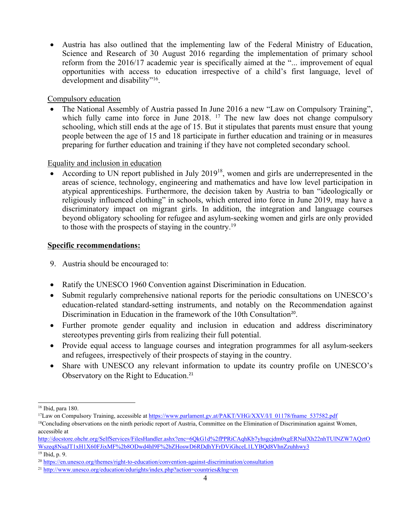Austria has also outlined that the implementing law of the Federal Ministry of Education, Science and Research of 30 August 2016 regarding the implementation of primary school reform from the 2016/17 academic year is specifically aimed at the "... improvement of equal opportunities with access to education irrespective of <sup>a</sup> child'<sup>s</sup> first language, level of development and disability"<sup>16</sup>.

Compulsory education

• The National Assembly of Austria passed In June 2016 a new "Law on Compulsory Training", which fully came into force in June 2018. <sup>17</sup> The new law does not change compulsory schooling, which still ends at the age of 15. But it stipulates that parents must ensure that young people between the age of 15 and 18 participate in further education and training or in measures preparing for further education and training if they have not completed secondary school.

#### Equality and inclusion in education

• According to UN report published in July  $2019^{18}$ , women and girls are underrepresented in the areas of science, technology, engineering and mathematics and have low level participation in atypical apprenticeships. Furthermore, the decision taken by Austria to ban "ideologically or religiously influenced clothing" in schools, which entered into force in June 2019, may have <sup>a</sup> discriminatory impact on migrant girls. In addition, the integration and language courses beyond obligatory schooling for refugee and asylum-seeking women and girls are only provided to those with the prospects of staying in the country. 19

## **Specific recommendations:**

- 9. Austria should be encouraged to:
- Ratify the UNESCO 1960 Convention against Discrimination in Education.
- $\bullet$  Submit regularly comprehensive national reports for the periodic consultations on UNESCO'<sup>s</sup> education-related standard-setting instruments, and notably on the Recommendation against Discrimination in Education in the framework of the 10th Consultation<sup>20</sup>.
- Further promote gender equality and inclusion in education and address discriminatory stereotypes preventing girls from realizing their full potential.
- Provide equal access to language courses and integration programmes for all asylum-seekers and refugees, irrespectively of their prospects of staying in the country.
- Share with UNESCO any relevant information to update its country profile on UNESCO's Observatory on the Right to Education. 21

<sup>16</sup> Ibid, para 180.

<sup>&</sup>lt;sup>17</sup>Law on Compulsory Training, accessible at [https://www.parlament.gv.at/PAKT/VHG/XXV/I/I\\_01178/fname\\_537582.pdf](https://www.parlament.gv.at/PAKT/VHG/XXV/I/I_01178/fname_537582.pdf)

<sup>&</sup>lt;sup>18</sup>Concluding observations on the ninth periodic report of Austria, Committee on the Elimination of Discrimination against Women, accessible at

[http://docstore.ohchr.org/SelfServices/FilesHandler.ashx?enc=6QkG1d%2fPPRiCAqhKb7yhsgcjdm0xgERNaIXh22nhTUlNZW7AQztO](http://docstore.ohchr.org/SelfServices/FilesHandler.ashx?enc=6QkG1d%2fPPRiCAqhKb7yhsgcjdm0xgERNaIXh22nhTUlNZW7AQztOWszeq8NsaJT1xH1X60FJixMF%2b8ODwd4hI9F%2bZHoswD6RDdhYFrDViGhceL1LYBQd8VhnZzuhhwy3) [Wszeq8NsaJT1xH1X60FJixMF%2b8ODwd4hI9F%2bZHoswD6RDdhYFrDViGhceL1LYBQd8VhnZzuhhwy3](http://docstore.ohchr.org/SelfServices/FilesHandler.ashx?enc=6QkG1d%2fPPRiCAqhKb7yhsgcjdm0xgERNaIXh22nhTUlNZW7AQztOWszeq8NsaJT1xH1X60FJixMF%2b8ODwd4hI9F%2bZHoswD6RDdhYFrDViGhceL1LYBQd8VhnZzuhhwy3) 19 Ibid, p. 9.

<sup>&</sup>lt;sup>20</sup> <https://en.unesco.org/themes/right-to-education/convention-against-discrimination/consultation>

<sup>&</sup>lt;sup>21</sup> <http://www.unesco.org/education/edurights/index.php?action=countries&lng=en>